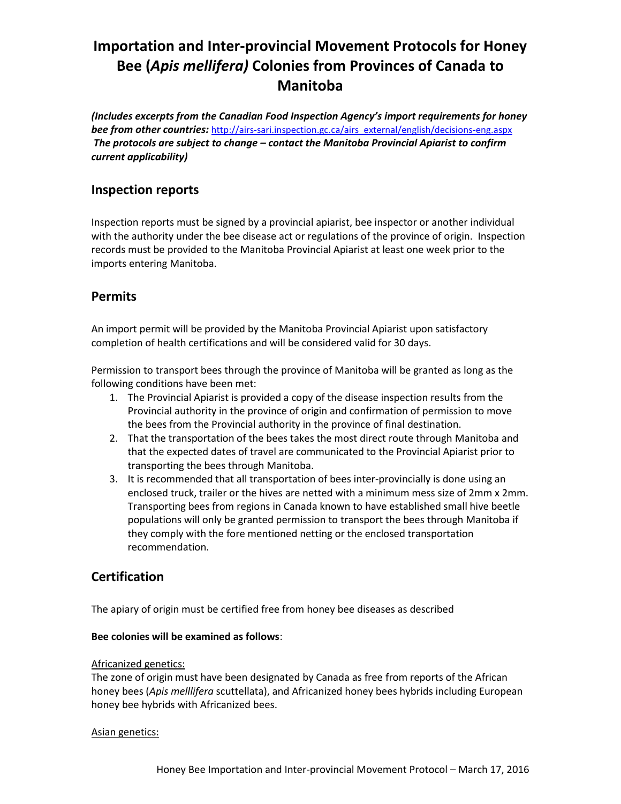# **Importation and Inter-provincial Movement Protocols for Honey Bee (***Apis mellifera)* **Colonies from Provinces of Canada to Manitoba**

*(Includes excerpts from the Canadian Food Inspection Agency's import requirements for honey* **bee from other countries:** [http://airs-sari.inspection.gc.ca/airs\\_external/english/decisions-eng.aspx](http://airs-sari.inspection.gc.ca/airs_external/english/decisions-eng.aspx) *The protocols are subject to change – contact the Manitoba Provincial Apiarist to confirm current applicability)*

### **Inspection reports**

Inspection reports must be signed by a provincial apiarist, bee inspector or another individual with the authority under the bee disease act or regulations of the province of origin. Inspection records must be provided to the Manitoba Provincial Apiarist at least one week prior to the imports entering Manitoba.

# **Permits**

An import permit will be provided by the Manitoba Provincial Apiarist upon satisfactory completion of health certifications and will be considered valid for 30 days.

Permission to transport bees through the province of Manitoba will be granted as long as the following conditions have been met:

- 1. The Provincial Apiarist is provided a copy of the disease inspection results from the Provincial authority in the province of origin and confirmation of permission to move the bees from the Provincial authority in the province of final destination.
- 2. That the transportation of the bees takes the most direct route through Manitoba and that the expected dates of travel are communicated to the Provincial Apiarist prior to transporting the bees through Manitoba.
- 3. It is recommended that all transportation of bees inter-provincially is done using an enclosed truck, trailer or the hives are netted with a minimum mess size of 2mm x 2mm. Transporting bees from regions in Canada known to have established small hive beetle populations will only be granted permission to transport the bees through Manitoba if they comply with the fore mentioned netting or the enclosed transportation recommendation.

# **Certification**

The apiary of origin must be certified free from honey bee diseases as described

### **Bee colonies will be examined as follows**:

### Africanized genetics:

The zone of origin must have been designated by Canada as free from reports of the African honey bees (*Apis melllifera* scuttellata), and Africanized honey bees hybrids including European honey bee hybrids with Africanized bees.

### Asian genetics: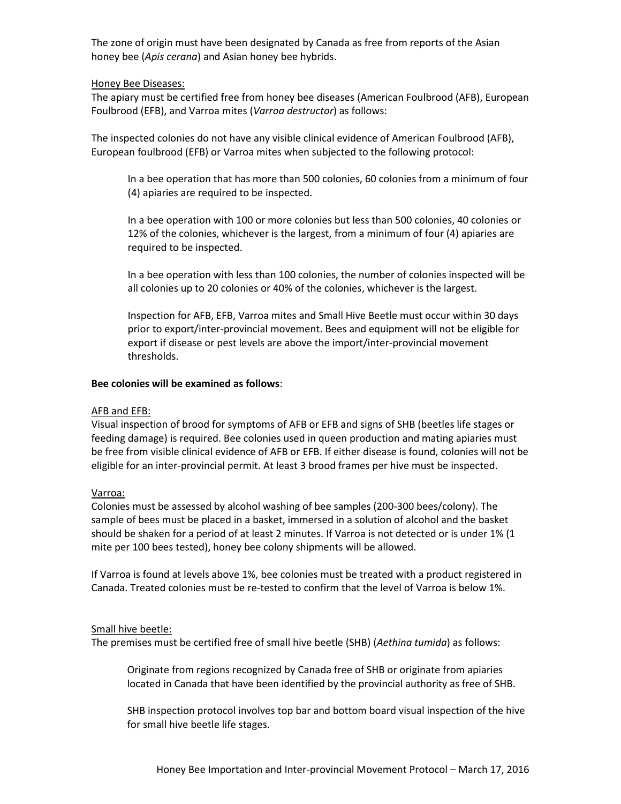The zone of origin must have been designated by Canada as free from reports of the Asian honey bee (*Apis cerana*) and Asian honey bee hybrids.

### Honey Bee Diseases:

The apiary must be certified free from honey bee diseases (American Foulbrood (AFB), European Foulbrood (EFB), and Varroa mites (*Varroa destructor*) as follows:

The inspected colonies do not have any visible clinical evidence of American Foulbrood (AFB), European foulbrood (EFB) or Varroa mites when subjected to the following protocol:

In a bee operation that has more than 500 colonies, 60 colonies from a minimum of four (4) apiaries are required to be inspected.

In a bee operation with 100 or more colonies but less than 500 colonies, 40 colonies or 12% of the colonies, whichever is the largest, from a minimum of four (4) apiaries are required to be inspected.

In a bee operation with less than 100 colonies, the number of colonies inspected will be all colonies up to 20 colonies or 40% of the colonies, whichever is the largest.

Inspection for AFB, EFB, Varroa mites and Small Hive Beetle must occur within 30 days prior to export/inter-provincial movement. Bees and equipment will not be eligible for export if disease or pest levels are above the import/inter-provincial movement thresholds.

#### **Bee colonies will be examined as follows**:

### AFB and EFB:

Visual inspection of brood for symptoms of AFB or EFB and signs of SHB (beetles life stages or feeding damage) is required. Bee colonies used in queen production and mating apiaries must be free from visible clinical evidence of AFB or EFB. If either disease is found, colonies will not be eligible for an inter-provincial permit. At least 3 brood frames per hive must be inspected.

### Varroa:

Colonies must be assessed by alcohol washing of bee samples (200-300 bees/colony). The sample of bees must be placed in a basket, immersed in a solution of alcohol and the basket should be shaken for a period of at least 2 minutes. If Varroa is not detected or is under 1% (1 mite per 100 bees tested), honey bee colony shipments will be allowed.

If Varroa is found at levels above 1%, bee colonies must be treated with a product registered in Canada. Treated colonies must be re-tested to confirm that the level of Varroa is below 1%.

#### Small hive beetle:

The premises must be certified free of small hive beetle (SHB) (*Aethina tumida*) as follows:

Originate from regions recognized by Canada free of SHB or originate from apiaries located in Canada that have been identified by the provincial authority as free of SHB.

SHB inspection protocol involves top bar and bottom board visual inspection of the hive for small hive beetle life stages.